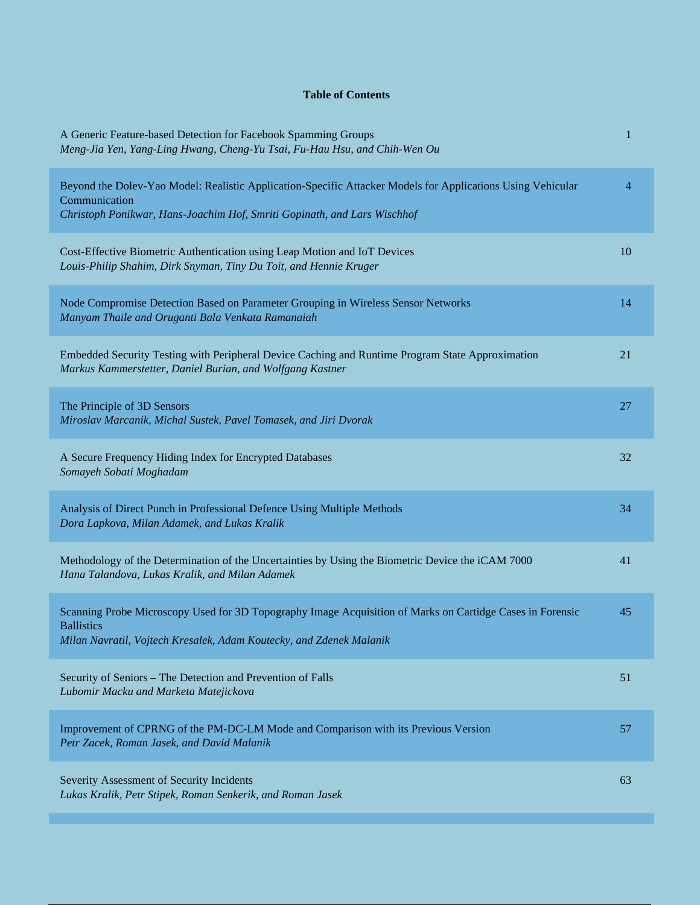## **Table of Contents**

| A Generic Feature-based Detection for Facebook Spamming Groups<br>Meng-Jia Yen, Yang-Ling Hwang, Cheng-Yu Tsai, Fu-Hau Hsu, and Chih-Wen Ou                                                              | 1  |
|----------------------------------------------------------------------------------------------------------------------------------------------------------------------------------------------------------|----|
| Beyond the Dolev-Yao Model: Realistic Application-Specific Attacker Models for Applications Using Vehicular<br>Communication<br>Christoph Ponikwar, Hans-Joachim Hof, Smriti Gopinath, and Lars Wischhof | 4  |
| Cost-Effective Biometric Authentication using Leap Motion and IoT Devices<br>Louis-Philip Shahim, Dirk Snyman, Tiny Du Toit, and Hennie Kruger                                                           | 10 |
| Node Compromise Detection Based on Parameter Grouping in Wireless Sensor Networks<br>Manyam Thaile and Oruganti Bala Venkata Ramanaiah                                                                   | 14 |
| Embedded Security Testing with Peripheral Device Caching and Runtime Program State Approximation<br>Markus Kammerstetter, Daniel Burian, and Wolfgang Kastner                                            | 21 |
| The Principle of 3D Sensors<br>Miroslav Marcanik, Michal Sustek, Pavel Tomasek, and Jiri Dvorak                                                                                                          | 27 |
| A Secure Frequency Hiding Index for Encrypted Databases<br>Somayeh Sobati Moghadam                                                                                                                       | 32 |
| Analysis of Direct Punch in Professional Defence Using Multiple Methods<br>Dora Lapkova, Milan Adamek, and Lukas Kralik                                                                                  | 34 |
| Methodology of the Determination of the Uncertainties by Using the Biometric Device the iCAM 7000<br>Hana Talandova, Lukas Kralik, and Milan Adamek                                                      | 41 |
| Scanning Probe Microscopy Used for 3D Topography Image Acquisition of Marks on Cartidge Cases in Forensic<br><b>Ballistics</b><br>Milan Navratil, Vojtech Kresalek, Adam Koutecky, and Zdenek Malanik    | 45 |
| Security of Seniors - The Detection and Prevention of Falls<br>Lubomir Macku and Marketa Matejickova                                                                                                     | 51 |
| Improvement of CPRNG of the PM-DC-LM Mode and Comparison with its Previous Version<br>Petr Zacek, Roman Jasek, and David Malanik                                                                         | 57 |
| Severity Assessment of Security Incidents<br>Lukas Kralik, Petr Stipek, Roman Senkerik, and Roman Jasek                                                                                                  | 63 |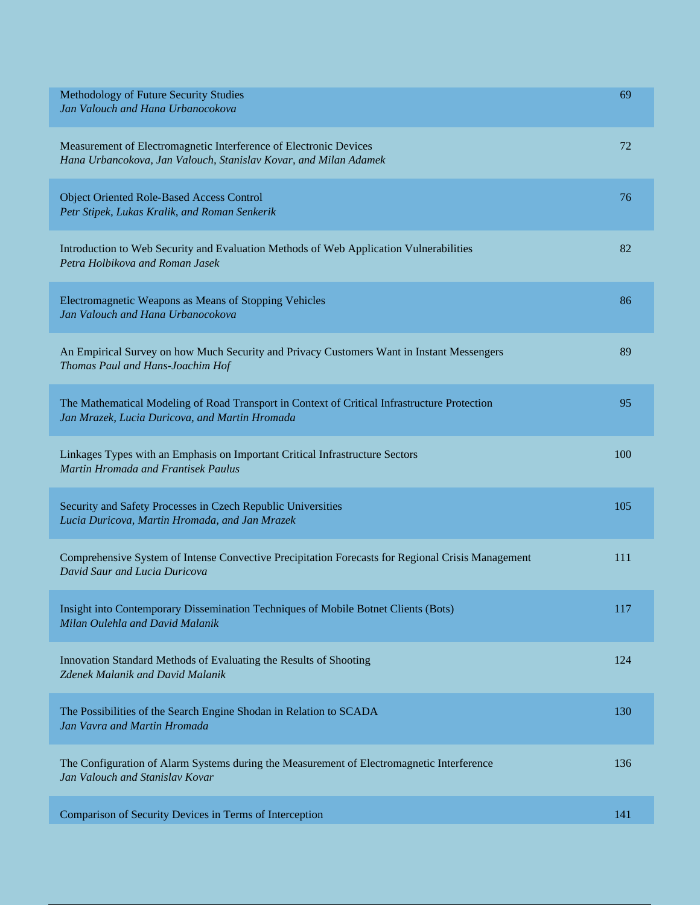| Methodology of Future Security Studies<br>Jan Valouch and Hana Urbanocokova                                                                    | 69  |
|------------------------------------------------------------------------------------------------------------------------------------------------|-----|
| Measurement of Electromagnetic Interference of Electronic Devices<br>Hana Urbancokova, Jan Valouch, Stanislav Kovar, and Milan Adamek          | 72  |
| Object Oriented Role-Based Access Control<br>Petr Stipek, Lukas Kralik, and Roman Senkerik                                                     | 76  |
| Introduction to Web Security and Evaluation Methods of Web Application Vulnerabilities<br>Petra Holbikova and Roman Jasek                      | 82  |
| Electromagnetic Weapons as Means of Stopping Vehicles<br>Jan Valouch and Hana Urbanocokova                                                     | 86  |
| An Empirical Survey on how Much Security and Privacy Customers Want in Instant Messengers<br>Thomas Paul and Hans-Joachim Hof                  | 89  |
| The Mathematical Modeling of Road Transport in Context of Critical Infrastructure Protection<br>Jan Mrazek, Lucia Duricova, and Martin Hromada | 95  |
| Linkages Types with an Emphasis on Important Critical Infrastructure Sectors<br>Martin Hromada and Frantisek Paulus                            | 100 |
| Security and Safety Processes in Czech Republic Universities<br>Lucia Duricova, Martin Hromada, and Jan Mrazek                                 | 105 |
| Comprehensive System of Intense Convective Precipitation Forecasts for Regional Crisis Management<br>David Saur and Lucia Duricova             | 111 |
| Insight into Contemporary Dissemination Techniques of Mobile Botnet Clients (Bots)<br>Milan Oulehla and David Malanik                          | 117 |
| Innovation Standard Methods of Evaluating the Results of Shooting<br>Zdenek Malanik and David Malanik                                          | 124 |
| The Possibilities of the Search Engine Shodan in Relation to SCADA<br>Jan Vavra and Martin Hromada                                             | 130 |
| The Configuration of Alarm Systems during the Measurement of Electromagnetic Interference<br>Jan Valouch and Stanislav Kovar                   | 136 |
| Comparison of Security Devices in Terms of Interception                                                                                        | 141 |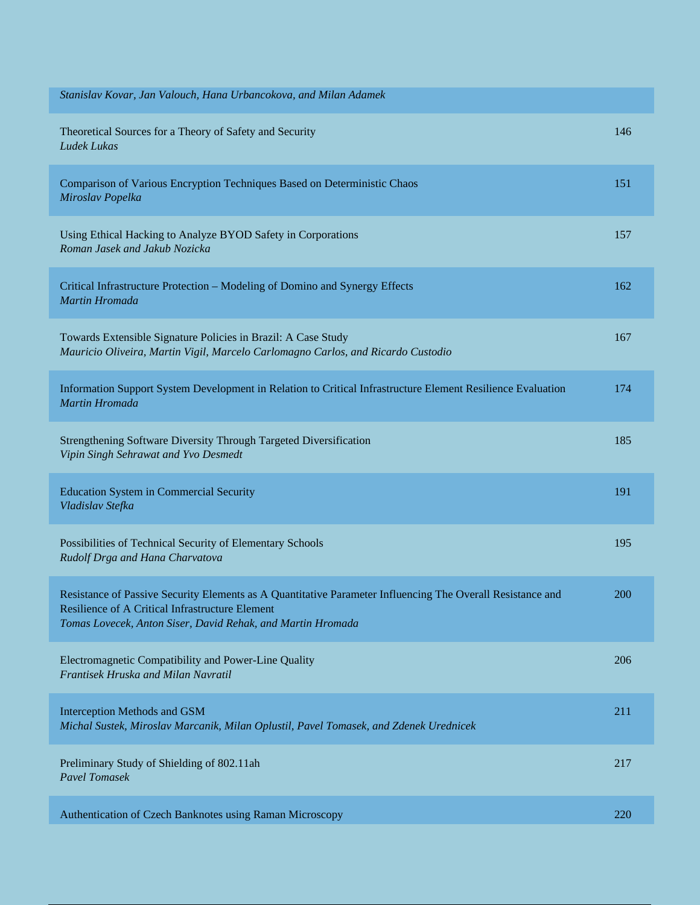| Stanislav Kovar, Jan Valouch, Hana Urbancokova, and Milan Adamek                                                                                                                                                             |     |
|------------------------------------------------------------------------------------------------------------------------------------------------------------------------------------------------------------------------------|-----|
| Theoretical Sources for a Theory of Safety and Security<br><b>Ludek Lukas</b>                                                                                                                                                | 146 |
| Comparison of Various Encryption Techniques Based on Deterministic Chaos<br>Miroslav Popelka                                                                                                                                 | 151 |
| Using Ethical Hacking to Analyze BYOD Safety in Corporations<br>Roman Jasek and Jakub Nozicka                                                                                                                                | 157 |
| Critical Infrastructure Protection - Modeling of Domino and Synergy Effects<br>Martin Hromada                                                                                                                                | 162 |
| Towards Extensible Signature Policies in Brazil: A Case Study<br>Mauricio Oliveira, Martin Vigil, Marcelo Carlomagno Carlos, and Ricardo Custodio                                                                            | 167 |
| Information Support System Development in Relation to Critical Infrastructure Element Resilience Evaluation<br>Martin Hromada                                                                                                | 174 |
| Strengthening Software Diversity Through Targeted Diversification<br>Vipin Singh Sehrawat and Yvo Desmedt                                                                                                                    | 185 |
| <b>Education System in Commercial Security</b><br>Vladislav Stefka                                                                                                                                                           | 191 |
| Possibilities of Technical Security of Elementary Schools<br>Rudolf Drga and Hana Charvatova                                                                                                                                 | 195 |
| Resistance of Passive Security Elements as A Quantitative Parameter Influencing The Overall Resistance and<br>Resilience of A Critical Infrastructure Element<br>Tomas Lovecek, Anton Siser, David Rehak, and Martin Hromada | 200 |
| Electromagnetic Compatibility and Power-Line Quality<br>Frantisek Hruska and Milan Navratil                                                                                                                                  | 206 |
| Interception Methods and GSM<br>Michal Sustek, Miroslav Marcanik, Milan Oplustil, Pavel Tomasek, and Zdenek Urednicek                                                                                                        | 211 |
| Preliminary Study of Shielding of 802.11ah<br><b>Pavel Tomasek</b>                                                                                                                                                           | 217 |
| Authentication of Czech Banknotes using Raman Microscopy                                                                                                                                                                     | 220 |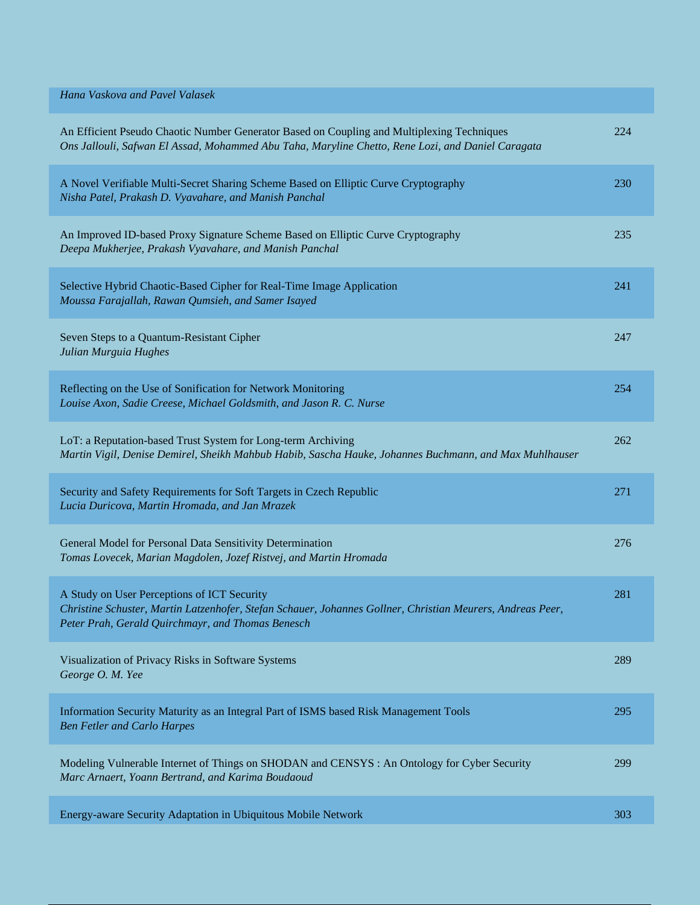| Hana Vaskova and Pavel Valasek                                                                                                                                                                                 |     |
|----------------------------------------------------------------------------------------------------------------------------------------------------------------------------------------------------------------|-----|
| An Efficient Pseudo Chaotic Number Generator Based on Coupling and Multiplexing Techniques<br>Ons Jallouli, Safwan El Assad, Mohammed Abu Taha, Maryline Chetto, Rene Lozi, and Daniel Caragata                | 224 |
| A Novel Verifiable Multi-Secret Sharing Scheme Based on Elliptic Curve Cryptography<br>Nisha Patel, Prakash D. Vyavahare, and Manish Panchal                                                                   | 230 |
| An Improved ID-based Proxy Signature Scheme Based on Elliptic Curve Cryptography<br>Deepa Mukherjee, Prakash Vyavahare, and Manish Panchal                                                                     | 235 |
| Selective Hybrid Chaotic-Based Cipher for Real-Time Image Application<br>Moussa Farajallah, Rawan Qumsieh, and Samer Isayed                                                                                    | 241 |
| Seven Steps to a Quantum-Resistant Cipher<br>Julian Murguia Hughes                                                                                                                                             | 247 |
| Reflecting on the Use of Sonification for Network Monitoring<br>Louise Axon, Sadie Creese, Michael Goldsmith, and Jason R. C. Nurse                                                                            | 254 |
| LoT: a Reputation-based Trust System for Long-term Archiving<br>Martin Vigil, Denise Demirel, Sheikh Mahbub Habib, Sascha Hauke, Johannes Buchmann, and Max Muhlhauser                                         | 262 |
| Security and Safety Requirements for Soft Targets in Czech Republic<br>Lucia Duricova, Martin Hromada, and Jan Mrazek                                                                                          | 271 |
| General Model for Personal Data Sensitivity Determination<br>Tomas Lovecek, Marian Magdolen, Jozef Ristvej, and Martin Hromada                                                                                 | 276 |
| A Study on User Perceptions of ICT Security<br>Christine Schuster, Martin Latzenhofer, Stefan Schauer, Johannes Gollner, Christian Meurers, Andreas Peer,<br>Peter Prah, Gerald Quirchmayr, and Thomas Benesch | 281 |
| Visualization of Privacy Risks in Software Systems<br>George O. M. Yee                                                                                                                                         | 289 |
| Information Security Maturity as an Integral Part of ISMS based Risk Management Tools<br><b>Ben Fetler and Carlo Harpes</b>                                                                                    | 295 |
| Modeling Vulnerable Internet of Things on SHODAN and CENSYS : An Ontology for Cyber Security<br>Marc Arnaert, Yoann Bertrand, and Karima Boudaoud                                                              | 299 |
| Energy-aware Security Adaptation in Ubiquitous Mobile Network                                                                                                                                                  | 303 |